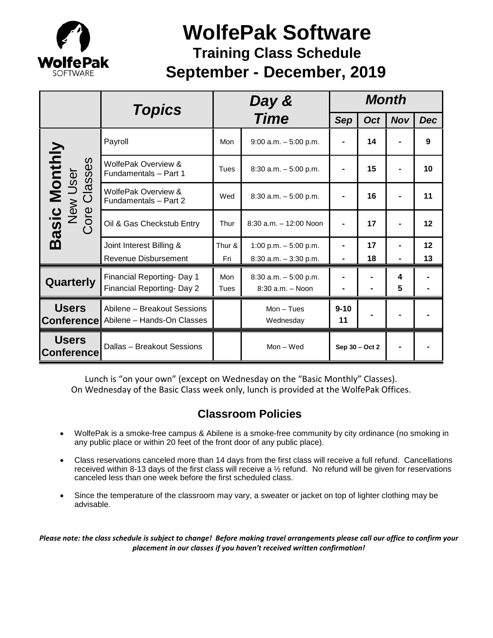

# **September - December, 2019 WolfePak Software Training Class Schedule**

|                                                                                      | <b>Topics</b>                                             | Day &<br><b>Time</b> |                                                    | <b>Month</b>   |            |            |            |
|--------------------------------------------------------------------------------------|-----------------------------------------------------------|----------------------|----------------------------------------------------|----------------|------------|------------|------------|
|                                                                                      |                                                           |                      |                                                    | <b>Sep</b>     | <b>Oct</b> | <b>Nov</b> | <b>Dec</b> |
| asic Monthly<br>es<br>New User<br><b>Iass</b><br>$\overline{O}$<br>Core<br><u>ന്</u> | Payroll                                                   | Mon                  | $9:00$ a.m. $-5:00$ p.m.                           |                | 14         |            | 9          |
|                                                                                      | WolfePak Overview &<br>Fundamentals - Part 1              | Tues                 | $8:30$ a.m. $-5:00$ p.m.                           |                | 15         |            | 10         |
|                                                                                      | WolfePak Overview &<br>Fundamentals - Part 2              | Wed                  | $8:30$ a.m. $-5:00$ p.m.                           |                | 16         |            | 11         |
|                                                                                      | Oil & Gas Checkstub Entry                                 | Thur                 | $8:30$ a.m. $-12:00$ Noon                          |                | 17         |            | 12         |
|                                                                                      | Joint Interest Billing &<br><b>Revenue Disbursement</b>   | Thur &<br>Fri        | 1:00 p.m. $-5:00$ p.m.<br>$8:30$ a.m. $-3:30$ p.m. | $\blacksquare$ | 17<br>18   |            | 12<br>13   |
| Quarterly                                                                            | Financial Reporting- Day 1<br>Financial Reporting- Day 2  | Mon<br>Tues          | $8:30$ a.m. $-5:00$ p.m.<br>$8:30$ a.m. $-$ Noon   |                |            | 4<br>5     |            |
| <b>Users</b><br><b>Conference</b>                                                    | Abilene - Breakout Sessions<br>Abilene - Hands-On Classes |                      | $Mon - Tues$<br>Wednesday                          | $9 - 10$<br>11 |            |            |            |
| <b>Users</b><br><b>Conference</b>                                                    | Dallas - Breakout Sessions                                |                      | $Mon - Wed$                                        | Sep 30 - Oct 2 |            |            |            |

Lunch is "on your own" (except on Wednesday on the "Basic Monthly" Classes). On Wednesday of the Basic Class week only, lunch is provided at the WolfePak Offices.

### **Classroom Policies**

- WolfePak is a smoke-free campus & Abilene is a smoke-free community by city ordinance (no smoking in any public place or within 20 feet of the front door of any public place).
- Class reservations canceled more than 14 days from the first class will receive a full refund. Cancellations received within 8-13 days of the first class will receive a ½ refund. No refund will be given for reservations canceled less than one week before the first scheduled class.
- Since the temperature of the classroom may vary, a sweater or jacket on top of lighter clothing may be advisable.

*Please note: the class schedule is subject to change! Before making travel arrangements please call our office to confirm your placement in our classes if you haven't received written confirmation!*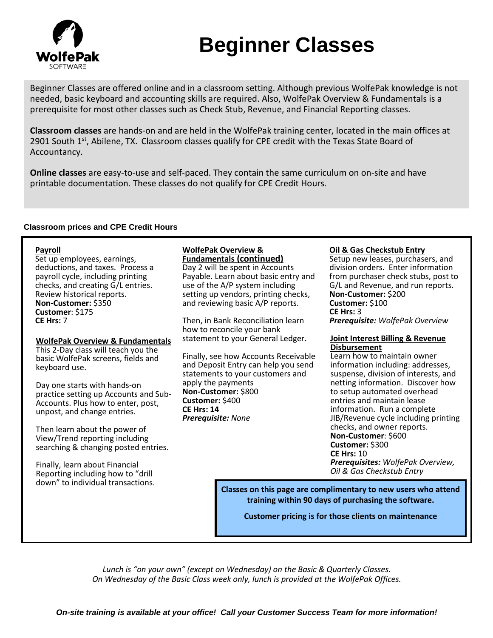

# **Beginner Classes**

Beginner Classes are offered online and in a classroom setting. Although previous WolfePak knowledge is not needed, basic keyboard and accounting skills are required. Also, WolfePak Overview & Fundamentals is a prerequisite for most other classes such as Check Stub, Revenue, and Financial Reporting classes.

**Classroom classes** are hands-on and are held in the WolfePak training center, located in the main offices at 2901 South  $1<sup>st</sup>$ , Abilene, TX. Classroom classes qualify for CPE credit with the Texas State Board of Accountancy.

**Online classes** are easy-to-use and self-paced. They contain the same curriculum on on-site and have printable documentation. These classes do not qualify for CPE Credit Hours.

#### **Classroom prices and CPE Credit Hours**

**Payroll**<br>Set up employees, earnings, deductions, and taxes. Process a payroll cycle, including printing checks, and creating G/L entries. Review historical reports. **Non-Customer:** \$350 **Customer**: \$175 **CE Hrs:** 7

**WolfePak Overview & Fundamentals** This 2-Day class will teach you the basic WolfePak screens, fields and keyboard use.

Day one starts with hands-on practice setting up Accounts and Sub-Accounts. Plus how to enter, post, unpost, and change entries.

Then learn about the power of View/Trend reporting including searching & changing posted entries.

Finally, learn about Financial Reporting including how to "drill down" to individual transactions.

### **WolfePak Overview &**

**Fundamentals (continued)** Day 2 will be spent in Accounts Payable. Learn about basic entry and use of the A/P system including setting up vendors, printing checks, and reviewing basic A/P reports.

Then, in Bank Reconciliation learn how to reconcile your bank statement to your General Ledger.

Finally, see how Accounts Receivable and Deposit Entry can help you send statements to your customers and apply the payments **Non-Customer:** \$800 **Customer:** \$400 **CE Hrs: 14** *Prerequisite: None*

#### **Oil & Gas Checkstub Entry**

Setup new leases, purchasers, and division orders. Enter information from purchaser check stubs, post to G/L and Revenue, and run reports. **Non-Customer:** \$200 **Customer:** \$100 **CE Hrs:** 3 *Prerequisite: WolfePak Overview*

#### **Joint Interest Billing & Revenue Disbursement**

Learn how to maintain owner information including: addresses, suspense, division of interests, and netting information. Discover how to setup automated overhead entries and maintain lease information. Run a complete JIB/Revenue cycle including printing checks, and owner reports. **Non-Customer**: \$600 **Customer:** \$300 **CE Hrs:** 10 *Prerequisites: WolfePak Overview, Oil & Gas Checkstub Entry*

**Classes on this page are complimentary to new users who attend training within 90 days of purchasing the software.**

**Customer pricing is for those clients on maintenance** 

*Lunch is "on your own" (except on Wednesday) on the Basic & Quarterly Classes. On Wednesday of the Basic Class week only, lunch is provided at the WolfePak Offices.*